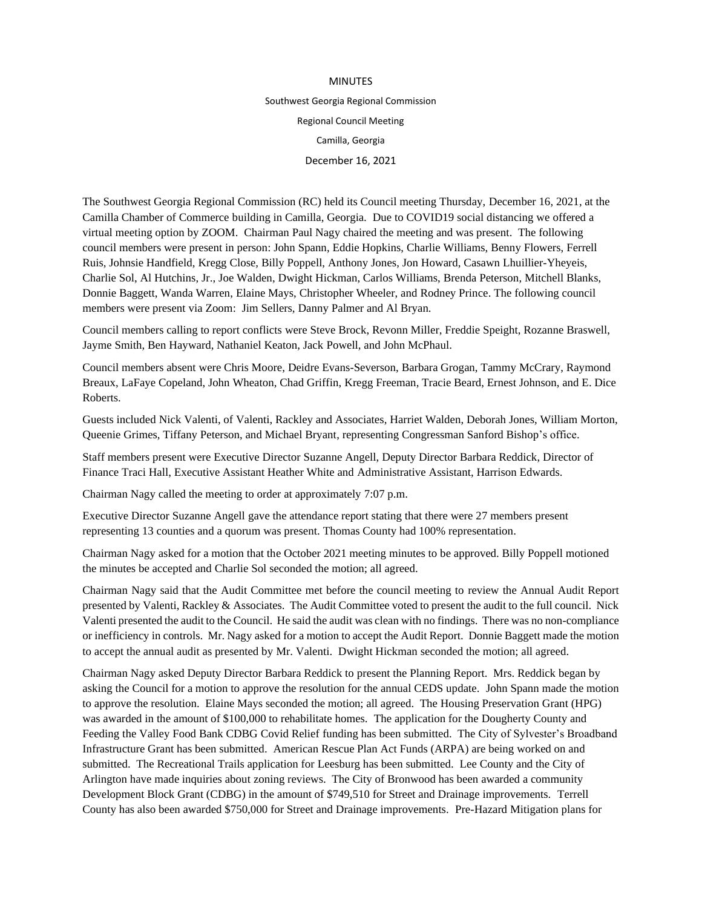## MINUTES Southwest Georgia Regional Commission Regional Council Meeting Camilla, Georgia December 16, 2021

The Southwest Georgia Regional Commission (RC) held its Council meeting Thursday, December 16, 2021, at the Camilla Chamber of Commerce building in Camilla, Georgia. Due to COVID19 social distancing we offered a virtual meeting option by ZOOM. Chairman Paul Nagy chaired the meeting and was present. The following council members were present in person: John Spann, Eddie Hopkins, Charlie Williams, Benny Flowers, Ferrell Ruis, Johnsie Handfield, Kregg Close, Billy Poppell, Anthony Jones, Jon Howard, Casawn Lhuillier-Yheyeis, Charlie Sol, Al Hutchins, Jr., Joe Walden, Dwight Hickman, Carlos Williams, Brenda Peterson, Mitchell Blanks, Donnie Baggett, Wanda Warren, Elaine Mays, Christopher Wheeler, and Rodney Prince. The following council members were present via Zoom: Jim Sellers, Danny Palmer and Al Bryan.

Council members calling to report conflicts were Steve Brock, Revonn Miller, Freddie Speight, Rozanne Braswell, Jayme Smith, Ben Hayward, Nathaniel Keaton, Jack Powell, and John McPhaul.

Council members absent were Chris Moore, Deidre Evans-Severson, Barbara Grogan, Tammy McCrary, Raymond Breaux, LaFaye Copeland, John Wheaton, Chad Griffin, Kregg Freeman, Tracie Beard, Ernest Johnson, and E. Dice Roberts.

Guests included Nick Valenti, of Valenti, Rackley and Associates, Harriet Walden, Deborah Jones, William Morton, Queenie Grimes, Tiffany Peterson, and Michael Bryant, representing Congressman Sanford Bishop's office.

Staff members present were Executive Director Suzanne Angell, Deputy Director Barbara Reddick, Director of Finance Traci Hall, Executive Assistant Heather White and Administrative Assistant, Harrison Edwards.

Chairman Nagy called the meeting to order at approximately 7:07 p.m.

Executive Director Suzanne Angell gave the attendance report stating that there were 27 members present representing 13 counties and a quorum was present. Thomas County had 100% representation.

Chairman Nagy asked for a motion that the October 2021 meeting minutes to be approved. Billy Poppell motioned the minutes be accepted and Charlie Sol seconded the motion; all agreed.

Chairman Nagy said that the Audit Committee met before the council meeting to review the Annual Audit Report presented by Valenti, Rackley & Associates. The Audit Committee voted to present the audit to the full council. Nick Valenti presented the audit to the Council. He said the audit was clean with no findings. There was no non-compliance or inefficiency in controls. Mr. Nagy asked for a motion to accept the Audit Report. Donnie Baggett made the motion to accept the annual audit as presented by Mr. Valenti. Dwight Hickman seconded the motion; all agreed.

Chairman Nagy asked Deputy Director Barbara Reddick to present the Planning Report. Mrs. Reddick began by asking the Council for a motion to approve the resolution for the annual CEDS update. John Spann made the motion to approve the resolution. Elaine Mays seconded the motion; all agreed. The Housing Preservation Grant (HPG) was awarded in the amount of \$100,000 to rehabilitate homes. The application for the Dougherty County and Feeding the Valley Food Bank CDBG Covid Relief funding has been submitted. The City of Sylvester's Broadband Infrastructure Grant has been submitted. American Rescue Plan Act Funds (ARPA) are being worked on and submitted. The Recreational Trails application for Leesburg has been submitted. Lee County and the City of Arlington have made inquiries about zoning reviews. The City of Bronwood has been awarded a community Development Block Grant (CDBG) in the amount of \$749,510 for Street and Drainage improvements. Terrell County has also been awarded \$750,000 for Street and Drainage improvements. Pre-Hazard Mitigation plans for